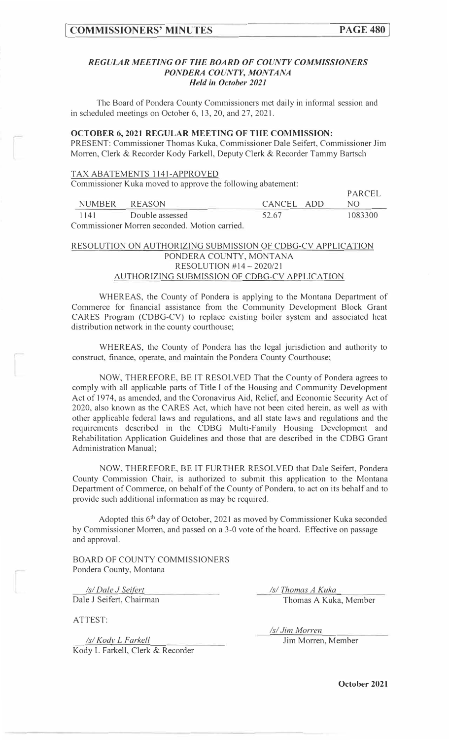**PARCEL** 

#### *REGULAR MEETING OF THE BOARD OF COUNTY COMMISSIONERS PONDERA COUNTY, MONTANA Held in October 2021*

The Board of Pondera County Commissioners met daily in informal session and in scheduled meetings on October 6, 13, 20, and 27, 2021.

#### **OCTOBER 6, 2021 REGULAR MEETING OF THE COMMISSION:**

PRESENT: Commissioner Thomas Kuka, Commissioner Dale Seifert, Commissioner Jim Morren, Clerk & Recorder Kody Farkell, Deputy Clerk & Recorder Tammy Bartsch

#### TAX ABATEMENTS l 141-APPROVED

Commissioner Kuka moved to approve the following abatement:

|                                               |                 |            | <b>PARCEL</b> |  |
|-----------------------------------------------|-----------------|------------|---------------|--|
| <b>NUMBER</b>                                 | REASON          | CANCEL ADD |               |  |
| 1141                                          | Double assessed | 52.67      | 1083300       |  |
| Commissioner Morren seconded. Motion carried. |                 |            |               |  |

## RESOLUTION ON AUTHORIZING SUBMISSION OF CDBG-CV APPLICATION PONDERA COUNTY, MONTANA RESOLUTION #14-2020/21 AUTHORIZING SUBMISSION OF CDBG-CV APPLICATION

WHEREAS, the County of Pondera is applying to the Montana Department of Commerce for financial assistance from the Community Development Block Grant CARES Program (CDBG-CV) to replace existing boiler system and associated heat distribution network in the county courthouse;

WHEREAS, the County of Pondera has the legal jurisdiction and authority to construct, finance, operate, and maintain the Pondera County Courthouse;

NOW, THEREFORE, BE IT RESOLVED That the County of Pondera agrees to comply with all applicable parts of Title I of the Housing and Community Development Act of 1974, as amended, and the Coronavirus Aid, Relief, and Economic Security Act of 2020, also known as the CARES Act, which have not been cited herein, as well as with other applicable federal laws and regulations, and all state laws and regulations and the requirements described in the CDBG Multi-Family Housing Development and Rehabilitation Application Guidelines and those that are described in the CDBG Grant Administration Manual;

NOW, THEREFORE, BE IT FURTHER RESOLVED that Dale Seifert, Pondera County Commission Chair, is authorized to submit this application to the Montana Department of Commerce, on behalf of the County of Pondera, to act on its behalf and to provide such additional information as may be required.

Adopted this 6<sup>th</sup> day of October, 2021 as moved by Commissioner Kuka seconded by Commissioner Morren, and passed on a 3-0 vote of the board. Effective on passage and approval.

BOARD OF COUNTY COMMISSIONERS Pondera County, Montana

*Isl Dale J Sei{grt*  Dale J Seifert, Chairman

ATTEST:

*Isl Thomas A Kuka*  Thomas A Kuka, Member

*Isl Kodv L F arkell*  Kody L Farkell, Clerk & Recorder *Isl Jim Morren*  Jim Morren, Member

**October 2021**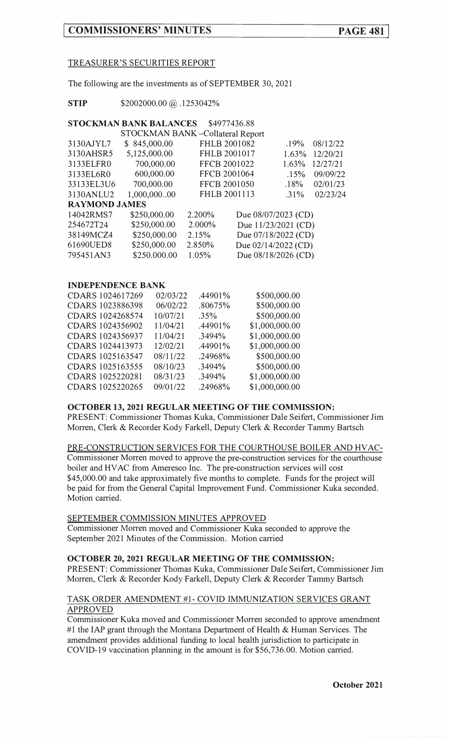## TREASURER'S SECURITIES REPORT

The following are the investments as of SEPTEMBER 30, 2021

**STIP** \$2002000.00 @ .1253042%

## **STOCKMAN BANK BALANCES** \$4977436.88

| STOCKMAN BANK-Collateral Report |              |        |              |                     |          |
|---------------------------------|--------------|--------|--------------|---------------------|----------|
| 3130AJYL7                       | \$845,000.00 |        | FHLB 2001082 | .19%                | 08/12/22 |
| 3130AHSR5                       | 5,125,000.00 |        | FHLB 2001017 | 1.63%               | 12/20/21 |
| 3133ELFR0                       | 700,000.00   |        | FFCB 2001022 | 1.63%               | 12/27/21 |
| 3133EL6R0                       | 600,000.00   |        | FFCB 2001064 | .15%                | 09/09/22 |
| 33133EL3U6                      | 700,000.00   |        | FFCB 2001050 | .18%                | 02/01/23 |
| 3130ANLU2                       | 1,000,00000  |        | FHLB 2001113 | $.31\%$             | 02/23/24 |
| <b>RAYMOND JAMES</b>            |              |        |              |                     |          |
| 14042RMS7                       | \$250,000.00 | 2.200% |              | Due 08/07/2023 (CD) |          |
| 254672T24                       | \$250,000.00 | 2.000% |              | Due 11/23/2021 (CD) |          |
| 38149MCZ4                       | \$250,000.00 | 2.15%  |              | Due 07/18/2022 (CD) |          |
| 61690UED8                       | \$250,000.00 | 2.850% |              | Due 02/14/2022 (CD) |          |
| 795451AN3                       | \$250.000.00 | 1.05%  |              | Due 08/18/2026 (CD) |          |

## **INDEPENDENCE BANK**

| CDARS 1024617269 | 02/03/22 | .44901% | \$500,000.00   |
|------------------|----------|---------|----------------|
| CDARS 1023886398 | 06/02/22 | .80675% | \$500,000.00   |
| CDARS 1024268574 | 10/07/21 | $.35\%$ | \$500,000.00   |
| CDARS 1024356902 | 11/04/21 | .44901% | \$1,000,000.00 |
| CDARS 1024356937 | 11/04/21 | .3494%  | \$1,000,000.00 |
| CDARS 1024413973 | 12/02/21 | .44901% | \$1,000,000.00 |
| CDARS 1025163547 | 08/11/22 | .24968% | \$500,000.00   |
| CDARS 1025163555 | 08/10/23 | .3494%  | \$500,000.00   |
| CDARS 1025220281 | 08/31/23 | .3494%  | \$1,000,000.00 |
| CDARS 1025220265 | 09/01/22 | .24968% | \$1,000,000.00 |
|                  |          |         |                |

### **OCTOBER 13, 2021 REGULAR MEETING OF THE COMMISSION:**

PRESENT: Commissioner Thomas Kuka, Commissioner Dale Seifert, Commissioner Jim Morren, Clerk & Recorder Kody Farkell, Deputy Clerk & Recorder Tammy Bartsch

#### PRE-CONSTRUCTION SERVICES FOR THE COURTHOUSE BOILER AND HVAC-

Commissioner Morren moved to approve the pre-construction services for the courthouse boiler and HY AC from Ameresco Inc. The pre-construction services will cost \$45,000.00 and take approximately five months to complete. Funds for the project will be paid for from the General Capital Improvement Fund. Commissioner Kuka seconded. Motion carried.

## SEPTEMBER COMMISSION MINUTES APPROVED

Commissioner Morren moved and Commissioner Kuka seconded to approve the September 2021 Minutes of the Commission. Motion carried

## **OCTOBER 20, 2021 REGULAR MEETING OF THE COMMISSION:**

PRESENT: Commissioner Thomas Kuka, Commissioner Dale Seifert, Commissioner Jim Morren, Clerk & Recorder Kody Farkell, Deputy Clerk & Recorder Tammy Bartsch

### TASK ORDER AMENDMENT #1- COVID IMMUNIZATION SERVICES GRANT APPROVED

Commissioner Kuka moved and Commissioner Morren seconded to approve amendment #1 the IAP grant through the Montana Department of Health & Human Services. The amendment provides additional funding to local health jurisdiction to participate in COVID-19 vaccination planning in the amount is for \$56,736.00. Motion carried.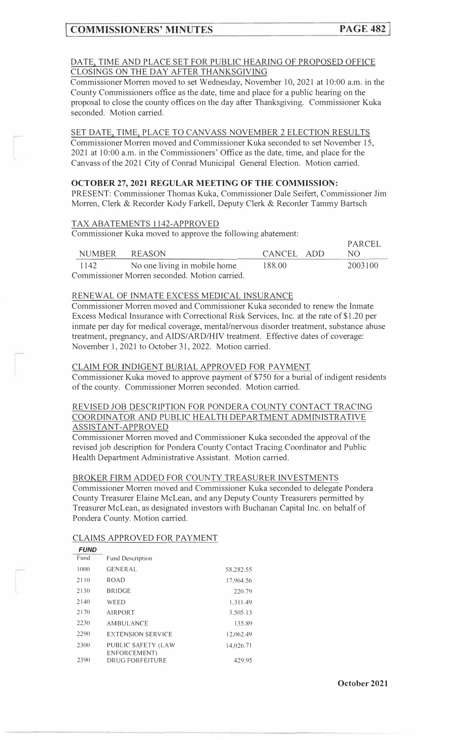#### DATE, TIME AND PLACE SET FOR PUBLIC HEARING OF PROPOSED OFFICE CLOSINGS ON THE DAY AFTER THANKSGIVING

Commissioner Morren moved to set Wednesday, November 10, 2021 at 10:00 a.m. in the County Commissioners office as the date, time and place for a public hearing on the proposal to close the county offices on the day after Thanksgiving. Commissioner Kuka seconded. Motion carried.

## SET DATE, TIME, PLACE TO CANVASS NOVEMBER 2 ELECTION RESULTS

Commissioner Morren moved and Commissioner Kuka seconded to set November 15, 2021 at 10:00 a.m. in the Commissioners' Office as the date, time, and place for the Canvass of the 2021 City of Conrad Municipal General Election. Motion carried.

### **OCTOBER 27, 2021 REGULAR MEETING OF THE COMMISSION:**

PRESENT: Commissioner Thomas Kuka, Commissioner Dale Seifert, Commissioner Jim Morren, Clerk & Recorder Kody Farkell, Deputy Clerk & Recorder Tammy Bartsch

#### TAX ABATEMENTS 1142-APPROVED

Commissioner Kuka moved to approve the following abatement:

| <b>NUMBER</b> | REASON                                        | CANCEL ADD | PARCEL<br>NO. |
|---------------|-----------------------------------------------|------------|---------------|
| 1142          | No one living in mobile home                  | 188.00     | 2003100       |
|               | Commissioner Morren seconded. Motion carried. |            |               |

## RENEWAL OF INMATE EXCESS MEDICAL INSURANCE

Commissioner Morren moved and Commissioner Kuka seconded to renew the Inmate Excess Medical Insurance with Correctional Risk Services, Inc. at the rate of \$1.20 per inmate per day for medical coverage, mental/nervous disorder treatment, substance abuse treatment, pregnancy, and AIDS/ARD/HIV treatment. Effective dates of coverage: November 1, 2021 to October 31, 2022. Motion carried.

## CLAIM FOR INDIGENT BURIAL APPROVED FOR PAYMENT

Commissioner Kuka moved to approve payment of \$750 for a burial of indigent residents of the county. Commissioner Morren seconded. Motion carried.

### REVISED JOB DESCRIPTION FOR PONDERA COUNTY CONTACT TRACING COORDINATOR AND PUBLIC HEALTH DEPARTMENT ADMINISTRATIVE ASSISTANT-APPROVED

Commissioner Morren moved and Commissioner Kuka seconded the approval of the revised job description for Pondera County Contact Tracing Coordinator and Public Health Department Administrative Assistant. Motion carried.

#### BROKER FIRM ADDED FOR COUNTY TREASURER INVESTMENTS

Commissioner Morren moved and Commissioner Kuka seconded to delegate Pondera County Treasurer Elaine McLean, and any Deputy County Treasurers permitted by Treasurer McLean, as designated investors with Buchanan Capital Inc. on behalf of Pondera County. Motion carried.

## CLAIMS APPROVED FOR PAYMENT

| <b>FUND</b> |                                    |           |
|-------------|------------------------------------|-----------|
| Fund        | <b>Fund Description</b>            |           |
| 1(000)      | <b>GENERAL</b>                     | 58.282.55 |
| 2110        | <b>ROAD</b>                        | 17.964.56 |
| 2130        | <b>BRIDGE</b>                      | 220.79    |
| 2140        | WEED                               | 1.311.49  |
| 2170        | <b>AIRPORT</b>                     | 3.505.13  |
| 223()       | AMBULANCE                          | 135.89    |
| 2290        | <b>EXTENSION SERVICE</b>           | 12,062.49 |
| 2300        | PUBLIC SAFETY (LAW<br>ENFORCEMENT) | 14,026.71 |
| 2390        | DRUG FORFEITURE                    | 429.95    |

**October 2021**